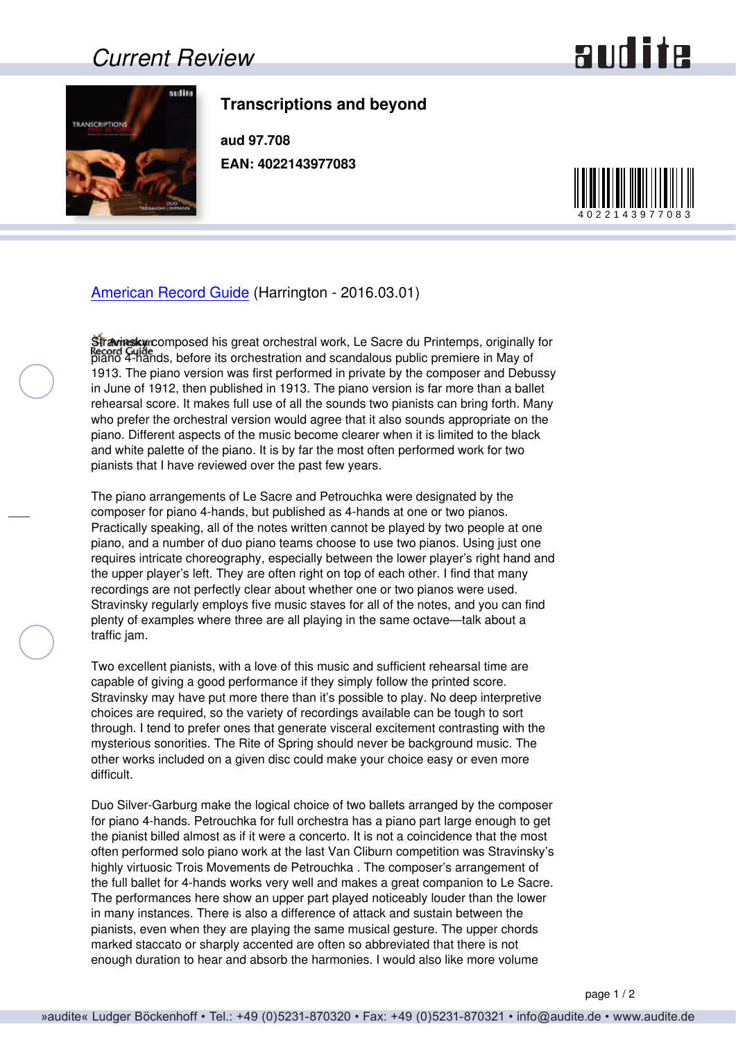### *Current Review*

# and ite



#### **Transcriptions and beyond**

**aud 97.708 EAN: 4022143977083**



#### [American Record Guide](http://www.americanrecordguide.com) (Harrington - 2016.03.01)

Stravinsky composed his great orchestral work, Le Sacre du Printemps, originally for piano 4-hands, before its orchestration and scandalous public premiere in May of 1913. The piano version was first performed in private by the composer and Debussy in June of 1912, then published in 1913. The piano version is far more than a ballet rehearsal score. It makes full use of all the sounds two pianists can bring forth. Many who prefer the orchestral version would agree that it also sounds appropriate on the piano. Different aspects of the music become clearer when it is limited to the black and white palette of the piano. It is by far the most often performed work for two pianists that I have reviewed over the past few years.

The piano arrangements of Le Sacre and Petrouchka were designated by the composer for piano 4-hands, but published as 4-hands at one or two pianos. Practically speaking, all of the notes written cannot be played by two people at one piano, and a number of duo piano teams choose to use two pianos. Using just one requires intricate choreography, especially between the lower player's right hand and the upper player's left. They are often right on top of each other. I find that many recordings are not perfectly clear about whether one or two pianos were used. Stravinsky regularly employs five music staves for all of the notes, and you can find plenty of examples where three are all playing in the same octave—talk about a traffic jam.

Two excellent pianists, with a love of this music and sufficient rehearsal time are capable of giving a good performance if they simply follow the printed score. Stravinsky may have put more there than it's possible to play. No deep interpretive choices are required, so the variety of recordings available can be tough to sort through. I tend to prefer ones that generate visceral excitement contrasting with the mysterious sonorities. The Rite of Spring should never be background music. The other works included on a given disc could make your choice easy or even more difficult.

Duo Silver-Garburg make the logical choice of two ballets arranged by the composer for piano 4-hands. Petrouchka for full orchestra has a piano part large enough to get the pianist billed almost as if it were a concerto. It is not a coincidence that the most often performed solo piano work at the last Van Cliburn competition was Stravinsky's highly virtuosic Trois Movements de Petrouchka . The composer's arrangement of the full ballet for 4-hands works very well and makes a great companion to Le Sacre. The performances here show an upper part played noticeably louder than the lower in many instances. There is also a difference of attack and sustain between the pianists, even when they are playing the same musical gesture. The upper chords marked staccato or sharply accented are often so abbreviated that there is not enough duration to hear and absorb the harmonies. I would also like more volume